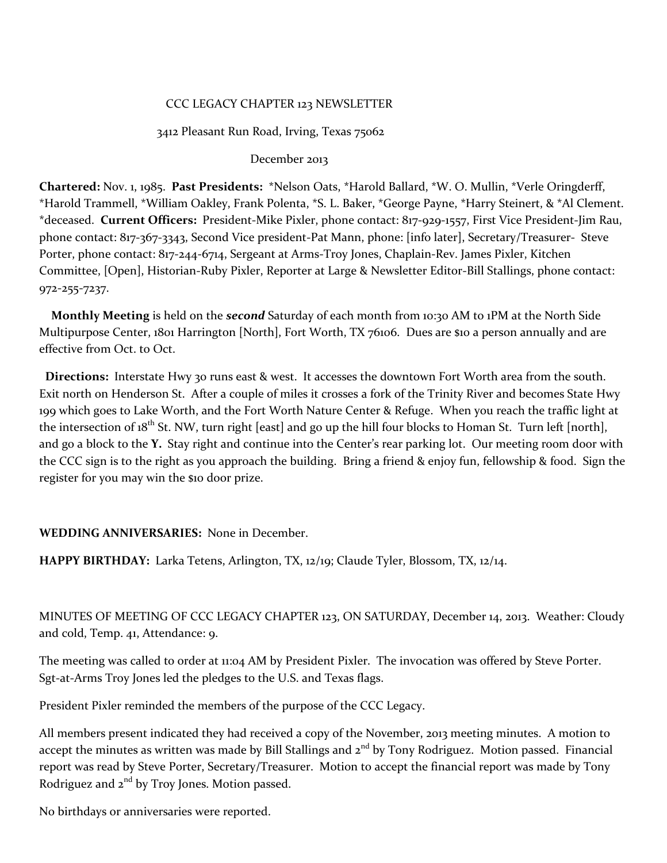#### CCC LEGACY CHAPTER 123 NEWSLETTER

### 3412 Pleasant Run Road, Irving, Texas 75062

#### December 2013

**Chartered:** Nov. 1, 1985. **Past Presidents:** \*Nelson Oats, \*Harold Ballard, \*W. O. Mullin, \*Verle Oringderff, \*Harold Trammell, \*William Oakley, Frank Polenta, \*S. L. Baker, \*George Payne, \*Harry Steinert, & \*Al Clement. \*deceased. **Current Officers:** President-Mike Pixler, phone contact: 817-929-1557, First Vice President-Jim Rau, phone contact: 817-367-3343, Second Vice president-Pat Mann, phone: [info later], Secretary/Treasurer- Steve Porter, phone contact: 817-244-6714, Sergeant at Arms-Troy Jones, Chaplain-Rev. James Pixler, Kitchen Committee, [Open], Historian-Ruby Pixler, Reporter at Large & Newsletter Editor-Bill Stallings, phone contact: 972-255-7237.

 **Monthly Meeting** is held on the *second* Saturday of each month from 10:30 AM to 1PM at the North Side Multipurpose Center, 1801 Harrington [North], Fort Worth, TX 76106. Dues are \$10 a person annually and are effective from Oct. to Oct.

 **Directions:** Interstate Hwy 30 runs east & west. It accesses the downtown Fort Worth area from the south. Exit north on Henderson St. After a couple of miles it crosses a fork of the Trinity River and becomes State Hwy 199 which goes to Lake Worth, and the Fort Worth Nature Center & Refuge. When you reach the traffic light at the intersection of  $18^{th}$  St. NW, turn right [east] and go up the hill four blocks to Homan St. Turn left [north], and go a block to the **Y.** Stay right and continue into the Center's rear parking lot. Our meeting room door with the CCC sign is to the right as you approach the building. Bring a friend & enjoy fun, fellowship & food. Sign the register for you may win the \$10 door prize.

# **WEDDING ANNIVERSARIES:** None in December.

**HAPPY BIRTHDAY:** Larka Tetens, Arlington, TX, 12/19; Claude Tyler, Blossom, TX, 12/14.

MINUTES OF MEETING OF CCC LEGACY CHAPTER 123, ON SATURDAY, December 14, 2013. Weather: Cloudy and cold, Temp. 41, Attendance: 9.

The meeting was called to order at 11:04 AM by President Pixler. The invocation was offered by Steve Porter. Sgt-at-Arms Troy Jones led the pledges to the U.S. and Texas flags.

President Pixler reminded the members of the purpose of the CCC Legacy.

All members present indicated they had received a copy of the November, 2013 meeting minutes. A motion to accept the minutes as written was made by Bill Stallings and  $2<sup>nd</sup>$  by Tony Rodriguez. Motion passed. Financial report was read by Steve Porter, Secretary/Treasurer. Motion to accept the financial report was made by Tony Rodriguez and  $2<sup>nd</sup>$  by Troy Jones. Motion passed.

No birthdays or anniversaries were reported.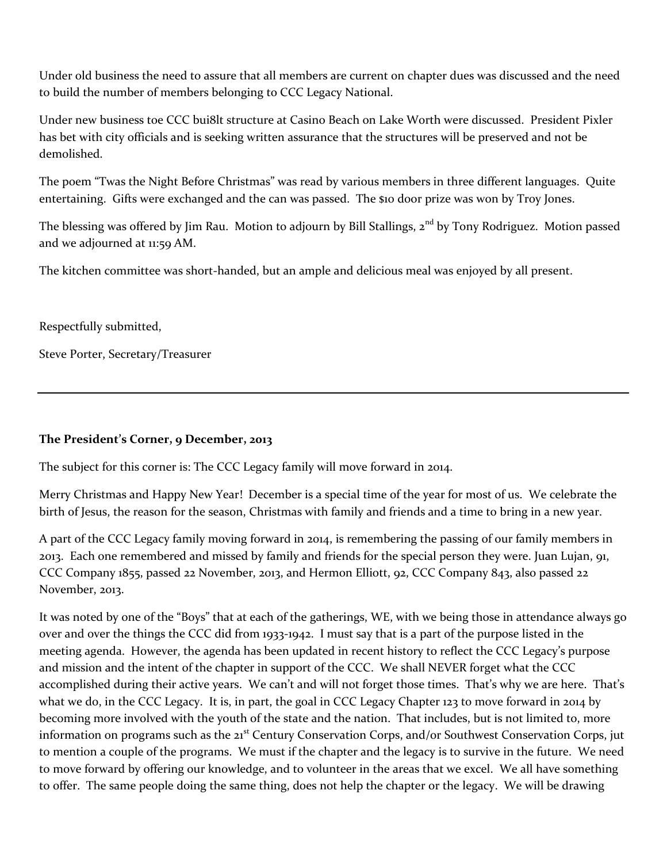Under old business the need to assure that all members are current on chapter dues was discussed and the need to build the number of members belonging to CCC Legacy National.

Under new business toe CCC bui8lt structure at Casino Beach on Lake Worth were discussed. President Pixler has bet with city officials and is seeking written assurance that the structures will be preserved and not be demolished.

The poem "Twas the Night Before Christmas" was read by various members in three different languages. Quite entertaining. Gifts were exchanged and the can was passed. The \$10 door prize was won by Troy Jones.

The blessing was offered by Jim Rau. Motion to adjourn by Bill Stallings, 2<sup>nd</sup> by Tony Rodriguez. Motion passed and we adjourned at 11:59 AM.

The kitchen committee was short-handed, but an ample and delicious meal was enjoyed by all present.

Respectfully submitted,

Steve Porter, Secretary/Treasurer

### **The President's Corner, 9 December, 2013**

The subject for this corner is: The CCC Legacy family will move forward in 2014.

Merry Christmas and Happy New Year! December is a special time of the year for most of us. We celebrate the birth of Jesus, the reason for the season, Christmas with family and friends and a time to bring in a new year.

A part of the CCC Legacy family moving forward in 2014, is remembering the passing of our family members in 2013. Each one remembered and missed by family and friends for the special person they were. Juan Lujan, 91, CCC Company 1855, passed 22 November, 2013, and Hermon Elliott, 92, CCC Company 843, also passed 22 November, 2013.

It was noted by one of the "Boys" that at each of the gatherings, WE, with we being those in attendance always go over and over the things the CCC did from 1933-1942. I must say that is a part of the purpose listed in the meeting agenda. However, the agenda has been updated in recent history to reflect the CCC Legacy's purpose and mission and the intent of the chapter in support of the CCC. We shall NEVER forget what the CCC accomplished during their active years. We can't and will not forget those times. That's why we are here. That's what we do, in the CCC Legacy. It is, in part, the goal in CCC Legacy Chapter 123 to move forward in 2014 by becoming more involved with the youth of the state and the nation. That includes, but is not limited to, more information on programs such as the 21<sup>st</sup> Century Conservation Corps, and/or Southwest Conservation Corps, jut to mention a couple of the programs. We must if the chapter and the legacy is to survive in the future. We need to move forward by offering our knowledge, and to volunteer in the areas that we excel. We all have something to offer. The same people doing the same thing, does not help the chapter or the legacy. We will be drawing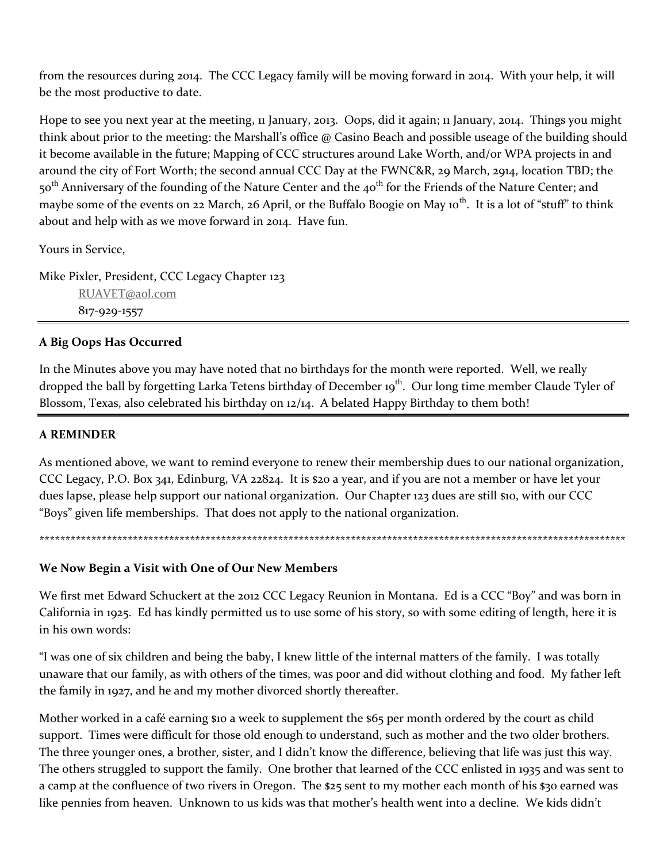from the resources during 2014. The CCC Legacy family will be moving forward in 2014. With your help, it will be the most productive to date.

Hope to see you next year at the meeting, 11 January, 2013. Oops, did it again; 11 January, 2014. Things you might think about prior to the meeting: the Marshall's office @ Casino Beach and possible useage of the building should it become available in the future; Mapping of CCC structures around Lake Worth, and/or WPA projects in and around the city of Fort Worth; the second annual CCC Day at the FWNC&R, 29 March, 2914, location TBD; the 50<sup>th</sup> Anniversary of the founding of the Nature Center and the 40<sup>th</sup> for the Friends of the Nature Center; and maybe some of the events on 22 March, 26 April, or the Buffalo Boogie on May 10<sup>th</sup>. It is a lot of "stuff" to think about and help with as we move forward in 2014. Have fun.

Yours in Service.

Mike Pixler, President, CCC Legacy Chapter 123 RUAVET@aol.com 817-929-1557

# A Big Oops Has Occurred

In the Minutes above you may have noted that no birthdays for the month were reported. Well, we really dropped the ball by forgetting Larka Tetens birthday of December 19<sup>th</sup>. Our long time member Claude Tyler of Blossom, Texas, also celebrated his birthday on 12/14. A belated Happy Birthday to them both!

# **A REMINDER**

As mentioned above, we want to remind everyone to renew their membership dues to our national organization, CCC Legacy, P.O. Box 341, Edinburg, VA 22824. It is \$20 a year, and if you are not a member or have let your dues lapse, please help support our national organization. Our Chapter 123 dues are still \$10, with our CCC "Boys" given life memberships. That does not apply to the national organization.

# We Now Begin a Visit with One of Our New Members

We first met Edward Schuckert at the 2012 CCC Legacy Reunion in Montana. Ed is a CCC "Boy" and was born in California in 1925. Ed has kindly permitted us to use some of his story, so with some editing of length, here it is in his own words:

"I was one of six children and being the baby, I knew little of the internal matters of the family. I was totally unaware that our family, as with others of the times, was poor and did without clothing and food. My father left the family in 1927, and he and my mother divorced shortly thereafter.

Mother worked in a café earning \$10 a week to supplement the \$65 per month ordered by the court as child support. Times were difficult for those old enough to understand, such as mother and the two older brothers. The three younger ones, a brother, sister, and I didn't know the difference, believing that life was just this way. The others struggled to support the family. One brother that learned of the CCC enlisted in 1935 and was sent to a camp at the confluence of two rivers in Oregon. The \$25 sent to my mother each month of his \$30 earned was like pennies from heaven. Unknown to us kids was that mother's health went into a decline. We kids didn't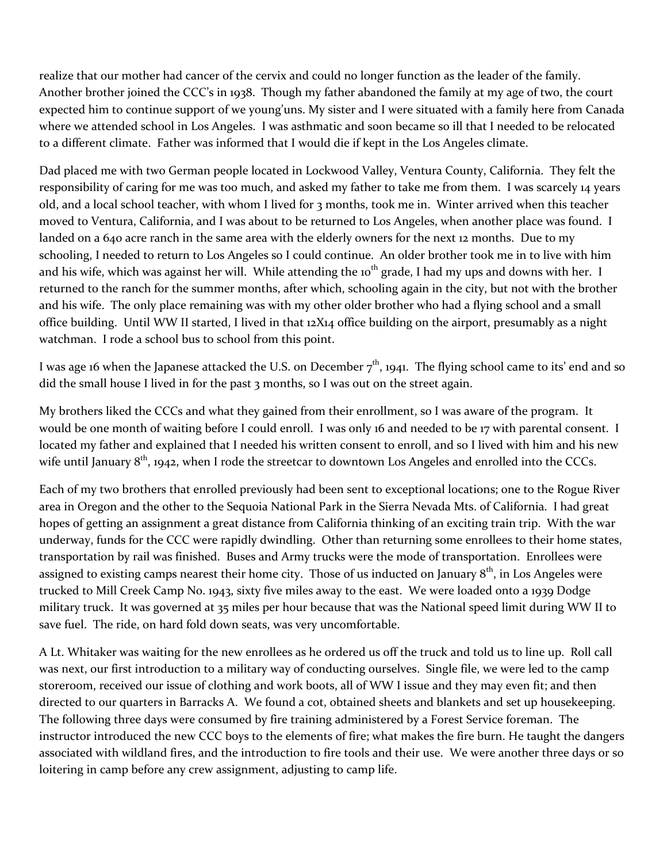realize that our mother had cancer of the cervix and could no longer function as the leader of the family. Another brother joined the CCC's in 1938. Though my father abandoned the family at my age of two, the court expected him to continue support of we young'uns. My sister and I were situated with a family here from Canada where we attended school in Los Angeles. I was asthmatic and soon became so ill that I needed to be relocated to a different climate. Father was informed that I would die if kept in the Los Angeles climate.

Dad placed me with two German people located in Lockwood Valley, Ventura County, California. They felt the responsibility of caring for me was too much, and asked my father to take me from them. I was scarcely 14 years old, and a local school teacher, with whom I lived for 3 months, took me in. Winter arrived when this teacher moved to Ventura, California, and I was about to be returned to Los Angeles, when another place was found. I landed on a 640 acre ranch in the same area with the elderly owners for the next 12 months. Due to my schooling, I needed to return to Los Angeles so I could continue. An older brother took me in to live with him and his wife, which was against her will. While attending the  $10<sup>th</sup>$  grade, I had my ups and downs with her. I returned to the ranch for the summer months, after which, schooling again in the city, but not with the brother and his wife. The only place remaining was with my other older brother who had a flying school and a small office building. Until WW II started, I lived in that 12X14 office building on the airport, presumably as a night watchman. I rode a school bus to school from this point.

I was age 16 when the Japanese attacked the U.S. on December  $7<sup>th</sup>$ , 1941. The flying school came to its' end and so did the small house I lived in for the past 3 months, so I was out on the street again.

My brothers liked the CCCs and what they gained from their enrollment, so I was aware of the program. It would be one month of waiting before I could enroll. I was only 16 and needed to be 17 with parental consent. I located my father and explained that I needed his written consent to enroll, and so I lived with him and his new wife until January  $8<sup>th</sup>$ , 1942, when I rode the streetcar to downtown Los Angeles and enrolled into the CCCs.

Each of my two brothers that enrolled previously had been sent to exceptional locations; one to the Rogue River area in Oregon and the other to the Sequoia National Park in the Sierra Nevada Mts. of California. I had great hopes of getting an assignment a great distance from California thinking of an exciting train trip. With the war underway, funds for the CCC were rapidly dwindling. Other than returning some enrollees to their home states, transportation by rail was finished. Buses and Army trucks were the mode of transportation. Enrollees were assigned to existing camps nearest their home city. Those of us inducted on January  $8<sup>th</sup>$ , in Los Angeles were trucked to Mill Creek Camp No. 1943, sixty five miles away to the east. We were loaded onto a 1939 Dodge military truck. It was governed at 35 miles per hour because that was the National speed limit during WW II to save fuel. The ride, on hard fold down seats, was very uncomfortable.

A Lt. Whitaker was waiting for the new enrollees as he ordered us off the truck and told us to line up. Roll call was next, our first introduction to a military way of conducting ourselves. Single file, we were led to the camp storeroom, received our issue of clothing and work boots, all of WW I issue and they may even fit; and then directed to our quarters in Barracks A. We found a cot, obtained sheets and blankets and set up housekeeping. The following three days were consumed by fire training administered by a Forest Service foreman. The instructor introduced the new CCC boys to the elements of fire; what makes the fire burn. He taught the dangers associated with wildland fires, and the introduction to fire tools and their use. We were another three days or so loitering in camp before any crew assignment, adjusting to camp life.